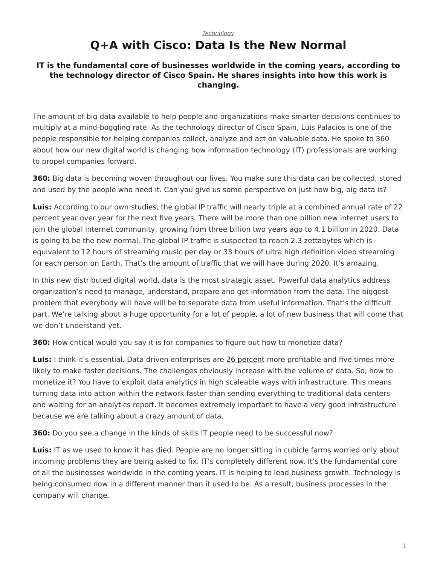## <span id="page-0-0"></span>*[Technology](https://www.steelcase.com/research/topics/technology/)* **Q+A with Cisco: Data Is the New Normal**

## **IT is the fundamental core of businesses worldwide in the coming years, according to the technology director of Cisco Spain. He shares insights into how this work is changing.**

The amount of big data available to help people and organizations make smarter decisions continues to multiply at a mind-boggling rate. As the technology director of Cisco Spain, Luis Palacios is one of the people responsible for helping companies collect, analyze and act on valuable data. He spoke to 360 about how our new digital world is changing how information technology (IT) professionals are working to propel companies forward.

**360:** Big data is becoming woven throughout our lives. You make sure this data can be collected, stored and used by the people who need it. Can you give us some perspective on just how big, big data is?

**Luis:** According to our own [studies](http://www.cisco.com/c/en/us/solutions/service-provider/visual-networking-index-vni/index.html), the global IP traffic will nearly triple at a combined annual rate of 22 percent year over year for the next five years. There will be more than one billion new internet users to join the global internet community, growing from three billion two years ago to 4.1 billion in 2020. Data is going to be the new normal. The global IP traffic is suspected to reach 2.3 zettabytes which is equivalent to 12 hours of streaming music per day or 33 hours of ultra high definition video streaming for each person on Earth. That's the amount of traffic that we will have during 2020. It's amazing.

In this new distributed digital world, data is the most strategic asset. Powerful data analytics address organization's need to manage, understand, prepare and get information from the data. The biggest problem that everybody will have will be to separate data from useful information. That's the difficult part. We're talking about a huge opportunity for a lot of people, a lot of new business that will come that we don't understand yet.

**360:** How critical would you say it is for companies to figure out how to monetize data?

**Luis:** I think it's essential. Data driven enterprises are [26 percent](http://www.cisco.com/c/dam/en/us/products/collateral/servers-unified-computing/mapr-optimized-de-wp.pdf) more profitable and five times more likely to make faster decisions. The challenges obviously increase with the volume of data. So, how to monetize it? You have to exploit data analytics in high scaleable ways with infrastructure. This means turning data into action within the network faster than sending everything to traditional data centers and waiting for an analytics report. It becomes extremely important to have a very good infrastructure because we are talking about a crazy amount of data.

**360:** Do you see a change in the kinds of skills IT people need to be successful now?

**Luis:** IT as we used to know it has died. People are no longer sitting in cubicle farms worried only about incoming problems they are being asked to fix. IT's completely different now. It's the fundamental core of all the businesses worldwide in the coming years. IT is helping to lead business growth. Technology is being consumed now in a different manner than it used to be. As a result, business processes in the company will change.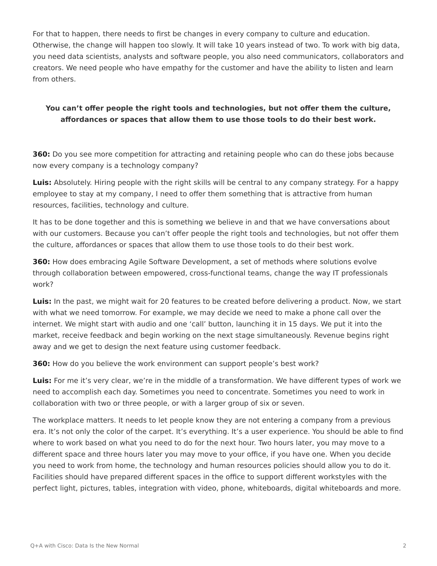For that to happen, there needs to first be changes in every company to culture and education. Otherwise, the change will happen too slowly. It will take 10 years instead of two. To work with big data, you need data scientists, analysts and software people, you also need communicators, collaborators and creators. We need people who have empathy for the customer and have the ability to listen and learn from others.

## **You can't offer people the right tools and technologies, but not offer them the culture, affordances or spaces that allow them to use those tools to do their best work.**

**360:** Do you see more competition for attracting and retaining people who can do these jobs because now every company is a technology company?

**Luis:** Absolutely. Hiring people with the right skills will be central to any company strategy. For a happy employee to stay at my company, I need to offer them something that is attractive from human resources, facilities, technology and culture.

It has to be done together and this is something we believe in and that we have conversations about with our customers. Because you can't offer people the right tools and technologies, but not offer them the culture, affordances or spaces that allow them to use those tools to do their best work.

**360:** How does embracing Agile Software Development, a set of methods where solutions evolve through collaboration between empowered, cross-functional teams, change the way IT professionals work?

**Luis:** In the past, we might wait for 20 features to be created before delivering a product. Now, we start with what we need tomorrow. For example, we may decide we need to make a phone call over the internet. We might start with audio and one 'call' button, launching it in 15 days. We put it into the market, receive feedback and begin working on the next stage simultaneously. Revenue begins right away and we get to design the next feature using customer feedback.

**360:** How do you believe the work environment can support people's best work?

**Luis:** For me it's very clear, we're in the middle of a transformation. We have different types of work we need to accomplish each day. Sometimes you need to concentrate. Sometimes you need to work in collaboration with two or three people, or with a larger group of six or seven.

The workplace matters. It needs to let people know they are not entering a company from a previous era. It's not only the color of the carpet. It's everything. It's a user experience. You should be able to find where to work based on what you need to do for the next hour. Two hours later, you may move to a different space and three hours later you may move to your office, if you have one. When you decide you need to work from home, the technology and human resources policies should allow you to do it. Facilities should have prepared different spaces in the office to support different workstyles with the perfect light, pictures, tables, integration with video, phone, whiteboards, digital whiteboards and more.